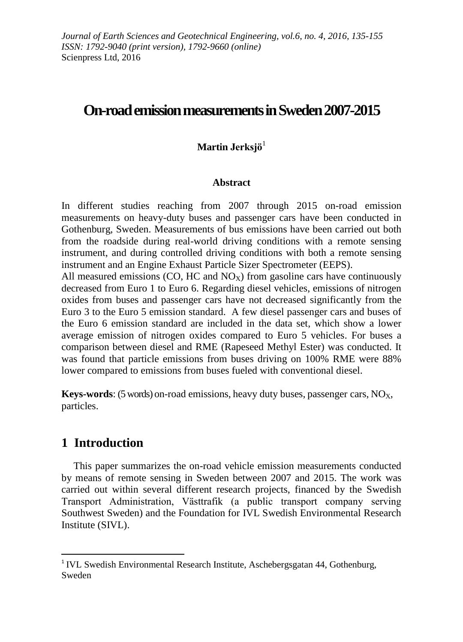# **On-road emission measurements in Sweden 2007-2015**

## **Martin Jerksjö**<sup>1</sup>

## **Abstract**

In different studies reaching from 2007 through 2015 on-road emission measurements on heavy-duty buses and passenger cars have been conducted in Gothenburg, Sweden. Measurements of bus emissions have been carried out both from the roadside during real-world driving conditions with a remote sensing instrument, and during controlled driving conditions with both a remote sensing instrument and an Engine Exhaust Particle Sizer Spectrometer (EEPS).

All measured emissions (CO, HC and  $NO<sub>X</sub>$ ) from gasoline cars have continuously decreased from Euro 1 to Euro 6. Regarding diesel vehicles, emissions of nitrogen oxides from buses and passenger cars have not decreased significantly from the Euro 3 to the Euro 5 emission standard. A few diesel passenger cars and buses of the Euro 6 emission standard are included in the data set, which show a lower average emission of nitrogen oxides compared to Euro 5 vehicles. For buses a comparison between diesel and RME (Rapeseed Methyl Ester) was conducted. It was found that particle emissions from buses driving on 100% RME were 88% lower compared to emissions from buses fueled with conventional diesel.

**Keys-words**: (5 words) on-road emissions, heavy duty buses, passenger cars,  $NO<sub>X</sub>$ , particles.

# **1 Introduction**

1

This paper summarizes the on-road vehicle emission measurements conducted by means of remote sensing in Sweden between 2007 and 2015. The work was carried out within several different research projects, financed by the Swedish Transport Administration, Västtrafik (a public transport company serving Southwest Sweden) and the Foundation for IVL Swedish Environmental Research Institute (SIVL).

<sup>&</sup>lt;sup>1</sup> IVL Swedish Environmental Research Institute, Aschebergsgatan 44, Gothenburg, Sweden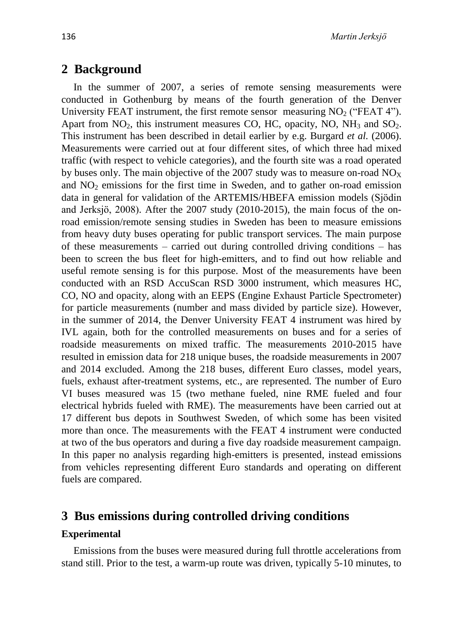## **2 Background**

In the summer of 2007, a series of remote sensing measurements were conducted in Gothenburg by means of the fourth generation of the Denver University FEAT instrument, the first remote sensor measuring  $NO<sub>2</sub>$  ("FEAT 4"). Apart from  $NO_2$ , this instrument measures CO, HC, opacity, NO, NH<sub>3</sub> and  $SO_2$ . This instrument has been described in detail earlier by e.g. Burgard *et al.* (2006). Measurements were carried out at four different sites, of which three had mixed traffic (with respect to vehicle categories), and the fourth site was a road operated by buses only. The main objective of the 2007 study was to measure on-road  $NO<sub>X</sub>$ and  $NO<sub>2</sub>$  emissions for the first time in Sweden, and to gather on-road emission data in general for validation of the ARTEMIS/HBEFA emission models (Sjödin and Jerksjö, 2008). After the 2007 study (2010-2015), the main focus of the onroad emission/remote sensing studies in Sweden has been to measure emissions from heavy duty buses operating for public transport services. The main purpose of these measurements – carried out during controlled driving conditions – has been to screen the bus fleet for high-emitters, and to find out how reliable and useful remote sensing is for this purpose. Most of the measurements have been conducted with an RSD AccuScan RSD 3000 instrument, which measures HC, CO, NO and opacity, along with an EEPS (Engine Exhaust Particle Spectrometer) for particle measurements (number and mass divided by particle size). However, in the summer of 2014, the Denver University FEAT 4 instrument was hired by IVL again, both for the controlled measurements on buses and for a series of roadside measurements on mixed traffic. The measurements 2010-2015 have resulted in emission data for 218 unique buses, the roadside measurements in 2007 and 2014 excluded. Among the 218 buses, different Euro classes, model years, fuels, exhaust after-treatment systems, etc., are represented. The number of Euro VI buses measured was 15 (two methane fueled, nine RME fueled and four electrical hybrids fueled with RME). The measurements have been carried out at 17 different bus depots in Southwest Sweden, of which some has been visited more than once. The measurements with the FEAT 4 instrument were conducted at two of the bus operators and during a five day roadside measurement campaign. In this paper no analysis regarding high-emitters is presented, instead emissions from vehicles representing different Euro standards and operating on different fuels are compared.

## **3 Bus emissions during controlled driving conditions**

#### **Experimental**

Emissions from the buses were measured during full throttle accelerations from stand still. Prior to the test, a warm-up route was driven, typically 5-10 minutes, to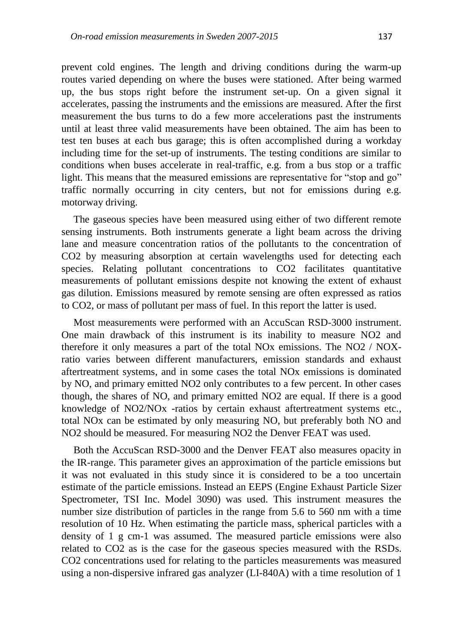prevent cold engines. The length and driving conditions during the warm-up routes varied depending on where the buses were stationed. After being warmed up, the bus stops right before the instrument set-up. On a given signal it accelerates, passing the instruments and the emissions are measured. After the first measurement the bus turns to do a few more accelerations past the instruments until at least three valid measurements have been obtained. The aim has been to test ten buses at each bus garage; this is often accomplished during a workday including time for the set-up of instruments. The testing conditions are similar to conditions when buses accelerate in real-traffic, e.g. from a bus stop or a traffic light. This means that the measured emissions are representative for "stop and go" traffic normally occurring in city centers, but not for emissions during e.g. motorway driving.

The gaseous species have been measured using either of two different remote sensing instruments. Both instruments generate a light beam across the driving lane and measure concentration ratios of the pollutants to the concentration of CO2 by measuring absorption at certain wavelengths used for detecting each species. Relating pollutant concentrations to CO2 facilitates quantitative measurements of pollutant emissions despite not knowing the extent of exhaust gas dilution. Emissions measured by remote sensing are often expressed as ratios to CO2, or mass of pollutant per mass of fuel. In this report the latter is used.

Most measurements were performed with an AccuScan RSD-3000 instrument. One main drawback of this instrument is its inability to measure NO2 and therefore it only measures a part of the total NOx emissions. The NO2 / NOXratio varies between different manufacturers, emission standards and exhaust aftertreatment systems, and in some cases the total NOx emissions is dominated by NO, and primary emitted NO2 only contributes to a few percent. In other cases though, the shares of NO, and primary emitted NO2 are equal. If there is a good knowledge of NO2/NOx -ratios by certain exhaust aftertreatment systems etc., total NOx can be estimated by only measuring NO, but preferably both NO and NO2 should be measured. For measuring NO2 the Denver FEAT was used.

Both the AccuScan RSD-3000 and the Denver FEAT also measures opacity in the IR-range. This parameter gives an approximation of the particle emissions but it was not evaluated in this study since it is considered to be a too uncertain estimate of the particle emissions. Instead an EEPS (Engine Exhaust Particle Sizer Spectrometer, TSI Inc. Model 3090) was used. This instrument measures the number size distribution of particles in the range from 5.6 to 560 nm with a time resolution of 10 Hz. When estimating the particle mass, spherical particles with a density of 1 g cm-1 was assumed. The measured particle emissions were also related to CO2 as is the case for the gaseous species measured with the RSDs. CO2 concentrations used for relating to the particles measurements was measured using a non-dispersive infrared gas analyzer (LI-840A) with a time resolution of 1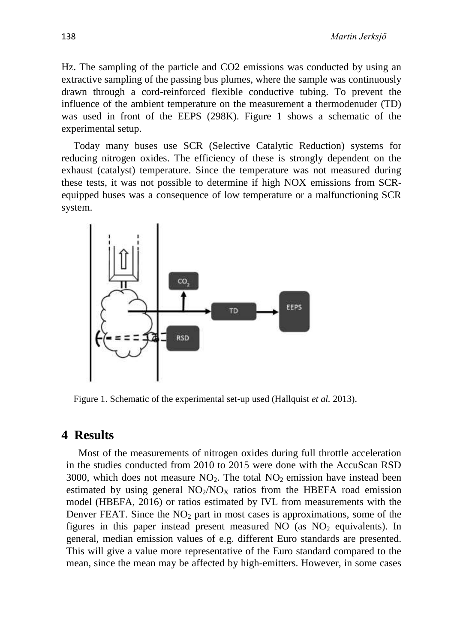Hz. The sampling of the particle and CO2 emissions was conducted by using an extractive sampling of the passing bus plumes, where the sample was continuously drawn through a cord-reinforced flexible conductive tubing. To prevent the influence of the ambient temperature on the measurement a thermodenuder (TD) was used in front of the EEPS (298K). Figure 1 shows a schematic of the experimental setup.

Today many buses use SCR (Selective Catalytic Reduction) systems for reducing nitrogen oxides. The efficiency of these is strongly dependent on the exhaust (catalyst) temperature. Since the temperature was not measured during these tests, it was not possible to determine if high NOX emissions from SCRequipped buses was a consequence of low temperature or a malfunctioning SCR system.



Figure 1. Schematic of the experimental set-up used (Hallquist *et al.* 2013).

## **4 Results**

Most of the measurements of nitrogen oxides during full throttle acceleration in the studies conducted from 2010 to 2015 were done with the AccuScan RSD 3000, which does not measure  $NO<sub>2</sub>$ . The total  $NO<sub>2</sub>$  emission have instead been estimated by using general  $NO<sub>2</sub>/NO<sub>X</sub>$  ratios from the HBEFA road emission model (HBEFA, 2016) or ratios estimated by IVL from measurements with the Denver FEAT. Since the  $NO<sub>2</sub>$  part in most cases is approximations, some of the figures in this paper instead present measured NO (as  $NO<sub>2</sub>$  equivalents). In general, median emission values of e.g. different Euro standards are presented. This will give a value more representative of the Euro standard compared to the mean, since the mean may be affected by high-emitters. However, in some cases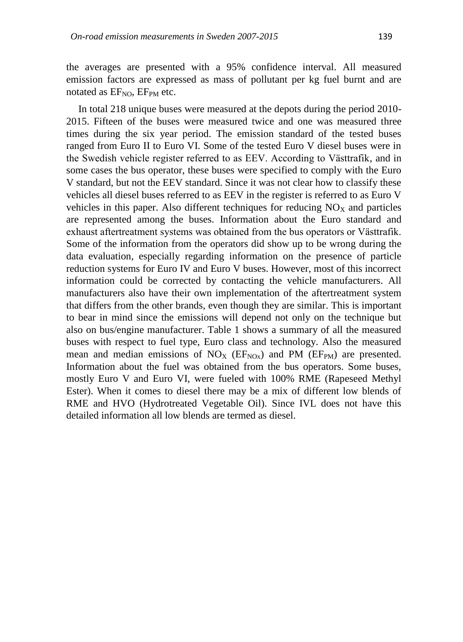the averages are presented with a 95% confidence interval. All measured emission factors are expressed as mass of pollutant per kg fuel burnt and are notated as  $EF<sub>NO</sub>$ ,  $EF<sub>PM</sub>$  etc.

In total 218 unique buses were measured at the depots during the period 2010- 2015. Fifteen of the buses were measured twice and one was measured three times during the six year period. The emission standard of the tested buses ranged from Euro II to Euro VI. Some of the tested Euro V diesel buses were in the Swedish vehicle register referred to as EEV. According to Västtrafik, and in some cases the bus operator, these buses were specified to comply with the Euro V standard, but not the EEV standard. Since it was not clear how to classify these vehicles all diesel buses referred to as EEV in the register is referred to as Euro V vehicles in this paper. Also different techniques for reducing  $NO<sub>X</sub>$  and particles are represented among the buses. Information about the Euro standard and exhaust aftertreatment systems was obtained from the bus operators or Västtrafik. Some of the information from the operators did show up to be wrong during the data evaluation, especially regarding information on the presence of particle reduction systems for Euro IV and Euro V buses. However, most of this incorrect information could be corrected by contacting the vehicle manufacturers. All manufacturers also have their own implementation of the aftertreatment system that differs from the other brands, even though they are similar. This is important to bear in mind since the emissions will depend not only on the technique but also on bus/engine manufacturer. Table 1 shows a summary of all the measured buses with respect to fuel type, Euro class and technology. Also the measured mean and median emissions of  $NO<sub>X</sub>$  (EF<sub>NOx</sub>) and PM (EF<sub>PM</sub>) are presented. Information about the fuel was obtained from the bus operators. Some buses, mostly Euro V and Euro VI, were fueled with 100% RME (Rapeseed Methyl Ester). When it comes to diesel there may be a mix of different low blends of RME and HVO (Hydrotreated Vegetable Oil). Since IVL does not have this detailed information all low blends are termed as diesel.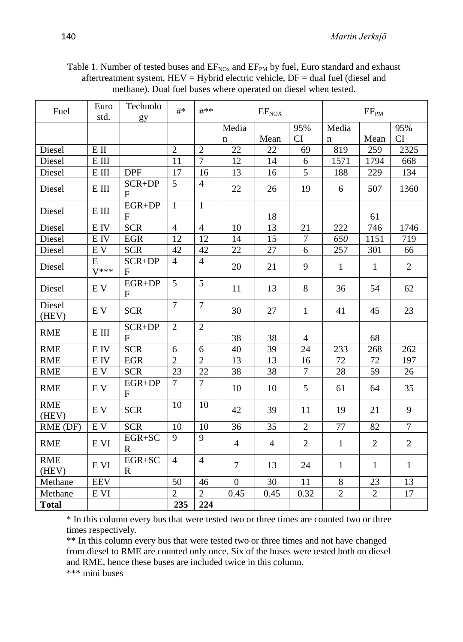| Table 1. Number of tested buses and $EF_{NQx}$ and $EF_{PM}$ by fuel, Euro standard and exhaust |
|-------------------------------------------------------------------------------------------------|
| aftertreatment system. HEV = Hybrid electric vehicle, $DF =$ dual fuel (diesel and              |
| methane). Dual fuel buses where operated on diesel when tested.                                 |

| Fuel                | Euro<br>std.                | Technolo<br>gy            | $#$ *           | #**            | $EF_{NOX}$     |                |                | EF <sub>PM</sub> |                |                |
|---------------------|-----------------------------|---------------------------|-----------------|----------------|----------------|----------------|----------------|------------------|----------------|----------------|
|                     |                             |                           |                 |                | Media          |                | 95%            | Media            |                | 95%            |
|                     |                             |                           |                 |                | $\mathbf n$    | Mean           | CI             | $\mathbf n$      | Mean           | CI             |
| Diesel              | $E$ II                      |                           | $\overline{2}$  | $\overline{2}$ | 22             | 22             | 69             | 819              | 259            | 2325           |
| Diesel              | $\mathbf E$ III             |                           | 11              | $\overline{7}$ | 12             | 14             | 6              | 1571             | 1794           | 668            |
| Diesel              | $\mathop{\hbox{\rm E}}$ III | <b>DPF</b>                | $\overline{17}$ | 16             | 13             | 16             | 5              | 188              | 229            | 134            |
| Diesel              | $\mathop{\hbox{\bf E}}$ III | SCR+DP<br>F               | 5               | $\overline{4}$ | 22             | 26             | 19             | 6                | 507            | 1360           |
| Diesel              | E III                       | EGR+DP<br>$\mathbf{F}$    | $\mathbf{1}$    | $\mathbf{1}$   |                | 18             |                |                  | 61             |                |
| Diesel              | E IV                        | <b>SCR</b>                | $\overline{4}$  | $\overline{4}$ | 10             | 13             | 21             | 222              | 746            | 1746           |
| Diesel              | E IV                        | <b>EGR</b>                | 12              | 12             | 14             | 15             | $\tau$         | 650              | 1151           | 719            |
| Diesel              | EV                          | <b>SCR</b>                | 42              | 42             | 22             | 27             | 6              | 257              | 301            | 66             |
| Diesel              | E<br>$V^{***}$              | SCR+DP<br>F               | $\overline{4}$  | $\overline{4}$ | 20             | 21             | 9              | $\mathbf{1}$     | $\mathbf{1}$   | $\overline{2}$ |
| Diesel              | EV                          | EGR+DP<br>$\mathbf{F}$    | 5               | 5              | 11             | 13             | 8              | 36               | 54             | 62             |
| Diesel<br>(HEV)     | EV                          | <b>SCR</b>                | $\overline{7}$  | $\overline{7}$ | 30             | 27             | $\mathbf{1}$   | 41               | 45             | 23             |
| <b>RME</b>          | $\mathop{\hbox{\rm E}}$ III | SCR+DP<br>$\mathbf{F}$    | $\overline{2}$  | $\overline{2}$ | 38             | 38             | $\overline{4}$ |                  | 68             |                |
| <b>RME</b>          | E IV                        | <b>SCR</b>                | 6               | 6              | 40             | 39             | 24             | 233              | 268            | 262            |
| <b>RME</b>          | E IV                        | <b>EGR</b>                | $\overline{2}$  | $\overline{2}$ | 13             | 13             | 16             | 72               | 72             | 197            |
| <b>RME</b>          | $\mathbf{E}\;\mathbf{V}$    | <b>SCR</b>                | 23              | 22             | 38             | 38             | $\overline{7}$ | 28               | 59             | 26             |
| <b>RME</b>          | EV                          | $EGR+DP$<br>${\bf F}$     | $\tau$          | $\overline{7}$ | 10             | 10             | 5              | 61               | 64             | 35             |
| <b>RME</b><br>(HEV) | EV                          | <b>SCR</b>                | 10              | 10             | 42             | 39             | 11             | 19               | 21             | 9              |
| RME (DF)            | E V                         | <b>SCR</b>                | 10              | 10             | 36             | 35             | $\overline{2}$ | 77               | 82             | $\overline{7}$ |
| <b>RME</b>          | E VI                        | EGR+SC<br>$\mathbf R$     | 9               | 9              | $\overline{4}$ | $\overline{4}$ | $\overline{2}$ | $\mathbf{1}$     | $\overline{2}$ | $\overline{2}$ |
| <b>RME</b><br>(HEV) | E VI                        | $EGR + SC$<br>$\mathbf R$ | $\overline{4}$  | $\overline{4}$ | $\overline{7}$ | 13             | 24             | $\mathbf{1}$     | $\mathbf{1}$   | $\mathbf{1}$   |
| Methane             | <b>EEV</b>                  |                           | 50              | 46             | $\overline{0}$ | 30             | 11             | 8                | 23             | 13             |
| Methane             | E VI                        |                           | $\overline{2}$  | $\overline{2}$ | 0.45           | 0.45           | 0.32           | $\overline{2}$   | $\overline{2}$ | 17             |
| <b>Total</b>        |                             |                           | 235             | 224            |                |                |                |                  |                |                |

\* In this column every bus that were tested two or three times are counted two or three times respectively.

\*\* In this column every bus that were tested two or three times and not have changed from diesel to RME are counted only once. Six of the buses were tested both on diesel and RME, hence these buses are included twice in this column. \*\*\* mini buses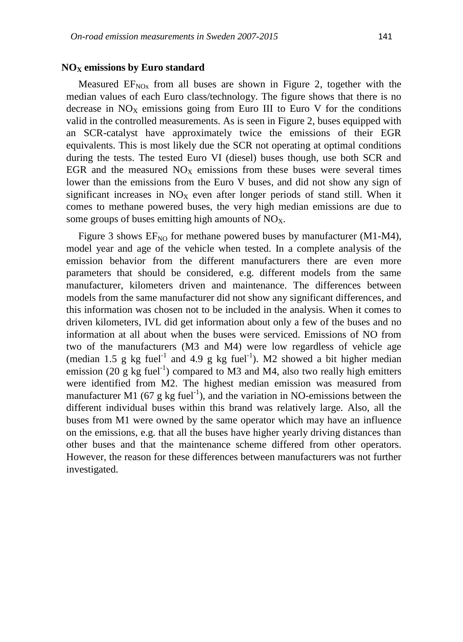#### **NO<sup>X</sup> emissions by Euro standard**

Measured  $EF_{NQx}$  from all buses are shown in Figure 2, together with the median values of each Euro class/technology. The figure shows that there is no decrease in  $NO<sub>X</sub>$  emissions going from Euro III to Euro V for the conditions valid in the controlled measurements. As is seen in Figure 2, buses equipped with an SCR-catalyst have approximately twice the emissions of their EGR equivalents. This is most likely due the SCR not operating at optimal conditions during the tests. The tested Euro VI (diesel) buses though, use both SCR and EGR and the measured  $NO<sub>X</sub>$  emissions from these buses were several times lower than the emissions from the Euro V buses, and did not show any sign of significant increases in  $NO<sub>X</sub>$  even after longer periods of stand still. When it comes to methane powered buses, the very high median emissions are due to some groups of buses emitting high amounts of  $NO<sub>x</sub>$ .

Figure 3 shows  $EF_{NO}$  for methane powered buses by manufacturer (M1-M4), model year and age of the vehicle when tested. In a complete analysis of the emission behavior from the different manufacturers there are even more parameters that should be considered, e.g. different models from the same manufacturer, kilometers driven and maintenance. The differences between models from the same manufacturer did not show any significant differences, and this information was chosen not to be included in the analysis. When it comes to driven kilometers, IVL did get information about only a few of the buses and no information at all about when the buses were serviced. Emissions of NO from two of the manufacturers (M3 and M4) were low regardless of vehicle age (median 1.5 g kg fuel<sup>-1</sup> and 4.9 g kg fuel<sup>-1</sup>). M2 showed a bit higher median emission (20 g kg fuel<sup>-1</sup>) compared to M3 and M4, also two really high emitters were identified from M2. The highest median emission was measured from manufacturer M1 (67 g kg fuel<sup>-1</sup>), and the variation in NO-emissions between the different individual buses within this brand was relatively large. Also, all the buses from M1 were owned by the same operator which may have an influence on the emissions, e.g. that all the buses have higher yearly driving distances than other buses and that the maintenance scheme differed from other operators. However, the reason for these differences between manufacturers was not further investigated.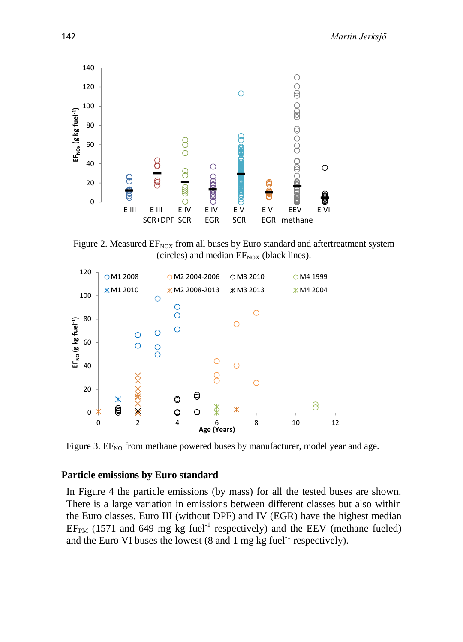

Figure 2. Measured  $EF_{NOX}$  from all buses by Euro standard and aftertreatment system (circles) and median  $EF_{\text{NOX}}$  (black lines).



Figure 3.  $EF_{NO}$  from methane powered buses by manufacturer, model year and age.

## **Particle emissions by Euro standard**

In Figure 4 the particle emissions (by mass) for all the tested buses are shown. There is a large variation in emissions between different classes but also within the Euro classes. Euro III (without DPF) and IV (EGR) have the highest median  $EF<sub>PM</sub>$  (1571 and 649 mg kg fuel<sup>-1</sup> respectively) and the EEV (methane fueled) and the Euro VI buses the lowest  $(8 \text{ and } 1 \text{ mg kg fuel}^{-1}$  respectively).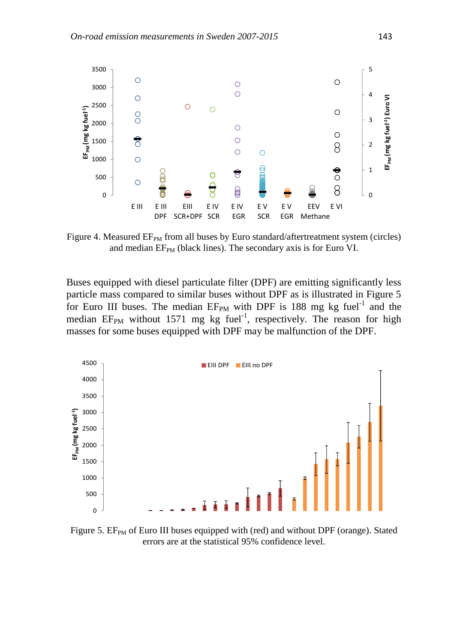

Figure 4. Measured  $EF_{PM}$  from all buses by Euro standard/aftertreatment system (circles) and median  $EF_{PM}$  (black lines). The secondary axis is for Euro VI.

Buses equipped with diesel particulate filter (DPF) are emitting significantly less particle mass compared to similar buses without DPF as is illustrated in Figure 5 for Euro III buses. The median  $EF_{PM}$  with DPF is 188 mg kg fuel<sup>-1</sup> and the median  $EF_{PM}$  without 1571 mg kg fuel<sup>-1</sup>, respectively. The reason for high masses for some buses equipped with DPF may be malfunction of the DPF.



Figure 5.  $EF_{PM}$  of Euro III buses equipped with (red) and without DPF (orange). Stated errors are at the statistical 95% confidence level.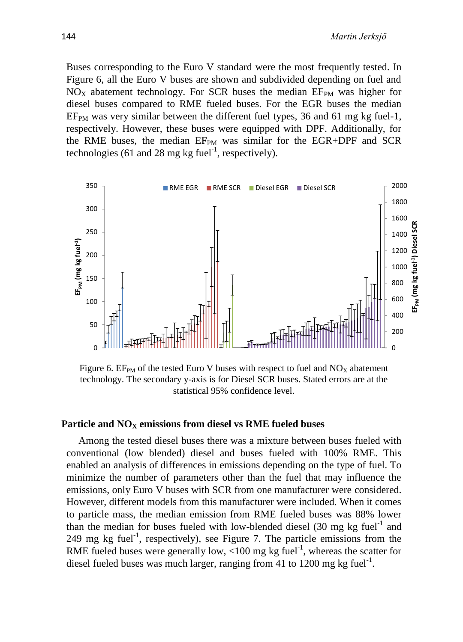Buses corresponding to the Euro V standard were the most frequently tested. In Figure 6, all the Euro V buses are shown and subdivided depending on fuel and  $NO<sub>X</sub>$  abatement technology. For SCR buses the median  $EF<sub>PM</sub>$  was higher for diesel buses compared to RME fueled buses. For the EGR buses the median  $EF<sub>PM</sub>$  was very similar between the different fuel types, 36 and 61 mg kg fuel-1, respectively. However, these buses were equipped with DPF. Additionally, for the RME buses, the median EF<sub>PM</sub> was similar for the EGR+DPF and SCR technologies (61 and 28 mg kg fuel<sup>-1</sup>, respectively).



Figure 6.  $EF_{PM}$  of the tested Euro V buses with respect to fuel and  $NO_X$  abatement technology. The secondary y-axis is for Diesel SCR buses. Stated errors are at the statistical 95% confidence level.

#### **Particle and NO<sup>X</sup> emissions from diesel vs RME fueled buses**

Among the tested diesel buses there was a mixture between buses fueled with conventional (low blended) diesel and buses fueled with 100% RME. This enabled an analysis of differences in emissions depending on the type of fuel. To minimize the number of parameters other than the fuel that may influence the emissions, only Euro V buses with SCR from one manufacturer were considered. However, different models from this manufacturer were included. When it comes to particle mass, the median emission from RME fueled buses was 88% lower than the median for buses fueled with low-blended diesel  $(30 \text{ mg} \text{ kg} \text{ fuel}^{-1}$  and  $249$  mg kg fuel<sup>-1</sup>, respectively), see Figure 7. The particle emissions from the RME fueled buses were generally low,  $\langle 100 \text{ mg} \text{ kg} \text{ fuel}^{-1}$ , whereas the scatter for diesel fueled buses was much larger, ranging from 41 to 1200 mg kg fuel<sup>-1</sup>.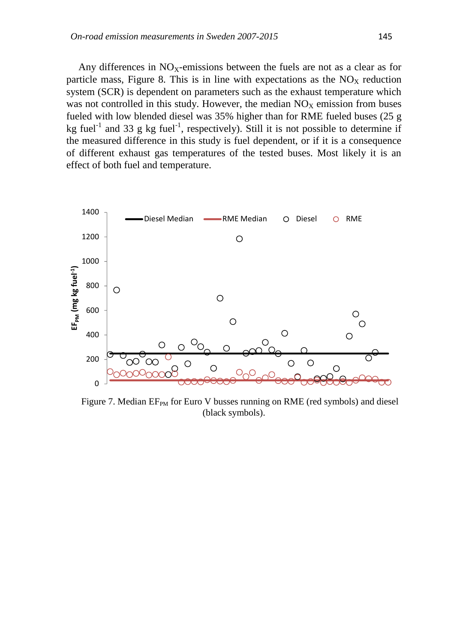Any differences in  $NO<sub>X</sub>$ -emissions between the fuels are not as a clear as for particle mass, Figure 8. This is in line with expectations as the  $NO<sub>X</sub>$  reduction system (SCR) is dependent on parameters such as the exhaust temperature which was not controlled in this study. However, the median  $NO<sub>X</sub>$  emission from buses fueled with low blended diesel was 35% higher than for RME fueled buses (25 g kg fuel<sup>-1</sup> and 33 g kg fuel<sup>-1</sup>, respectively). Still it is not possible to determine if the measured difference in this study is fuel dependent, or if it is a consequence of different exhaust gas temperatures of the tested buses. Most likely it is an effect of both fuel and temperature.



Figure 7. Median  $EF_{PM}$  for Euro V busses running on RME (red symbols) and diesel (black symbols).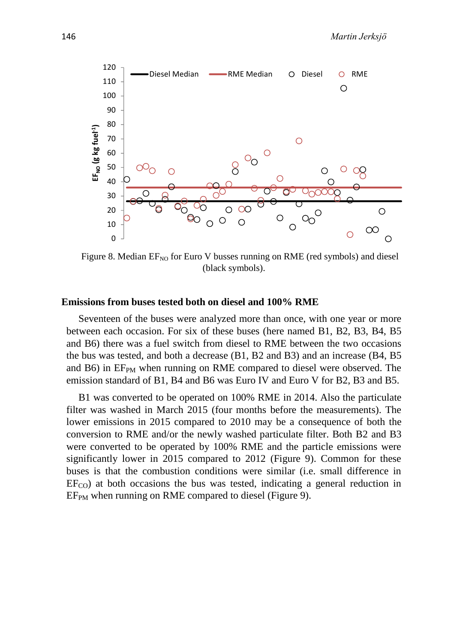

Figure 8. Median  $EF_{NO}$  for Euro V busses running on RME (red symbols) and diesel (black symbols).

### **Emissions from buses tested both on diesel and 100% RME**

Seventeen of the buses were analyzed more than once, with one year or more between each occasion. For six of these buses (here named B1, B2, B3, B4, B5 and B6) there was a fuel switch from diesel to RME between the two occasions the bus was tested, and both a decrease (B1, B2 and B3) and an increase (B4, B5 and B6) in  $EF_{PM}$  when running on RME compared to diesel were observed. The emission standard of B1, B4 and B6 was Euro IV and Euro V for B2, B3 and B5.

B1 was converted to be operated on 100% RME in 2014. Also the particulate filter was washed in March 2015 (four months before the measurements). The lower emissions in 2015 compared to 2010 may be a consequence of both the conversion to RME and/or the newly washed particulate filter. Both B2 and B3 were converted to be operated by 100% RME and the particle emissions were significantly lower in 2015 compared to 2012 (Figure 9). Common for these buses is that the combustion conditions were similar (i.e. small difference in  $EF_{CO}$ ) at both occasions the bus was tested, indicating a general reduction in  $EF<sub>PM</sub>$  when running on RME compared to diesel (Figure 9).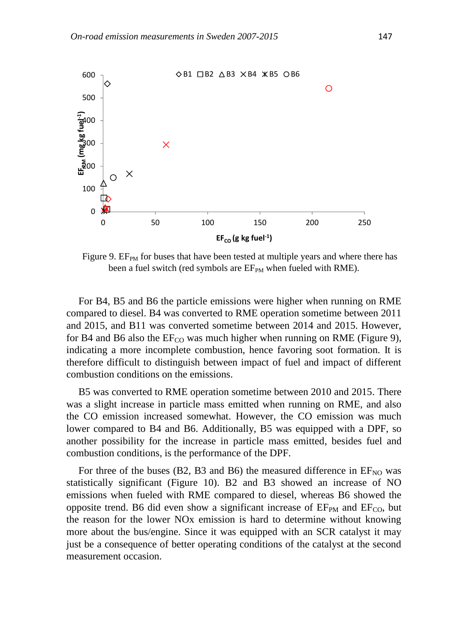

Figure 9.  $EF_{PM}$  for buses that have been tested at multiple years and where there has been a fuel switch (red symbols are  $EF_{PM}$  when fueled with RME).

For B4, B5 and B6 the particle emissions were higher when running on RME compared to diesel. B4 was converted to RME operation sometime between 2011 and 2015, and B11 was converted sometime between 2014 and 2015. However, for B4 and B6 also the  $EF_{CO}$  was much higher when running on RME (Figure 9), indicating a more incomplete combustion, hence favoring soot formation. It is therefore difficult to distinguish between impact of fuel and impact of different combustion conditions on the emissions.

B5 was converted to RME operation sometime between 2010 and 2015. There was a slight increase in particle mass emitted when running on RME, and also the CO emission increased somewhat. However, the CO emission was much lower compared to B4 and B6. Additionally, B5 was equipped with a DPF, so another possibility for the increase in particle mass emitted, besides fuel and combustion conditions, is the performance of the DPF.

For three of the buses (B2, B3 and B6) the measured difference in  $EF_{NO}$  was statistically significant (Figure 10). B2 and B3 showed an increase of NO emissions when fueled with RME compared to diesel, whereas B6 showed the opposite trend. B6 did even show a significant increase of  $E_{PM}$  and  $E_{CO}$ , but the reason for the lower NOx emission is hard to determine without knowing more about the bus/engine. Since it was equipped with an SCR catalyst it may just be a consequence of better operating conditions of the catalyst at the second measurement occasion.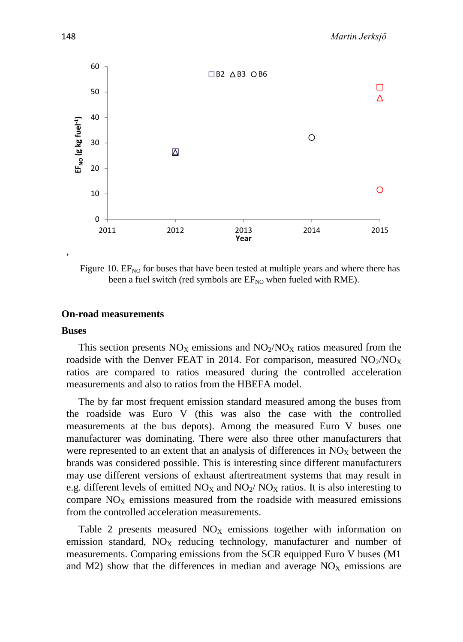

Figure 10.  $EF_{NO}$  for buses that have been tested at multiple years and where there has been a fuel switch (red symbols are  $EF_{NO}$  when fueled with RME).

### **On-road measurements**

#### **Buses**

This section presents  $NO<sub>X</sub>$  emissions and  $NO<sub>2</sub>/NO<sub>X</sub>$  ratios measured from the roadside with the Denver FEAT in 2014. For comparison, measured  $NO<sub>2</sub>/NO<sub>X</sub>$ ratios are compared to ratios measured during the controlled acceleration measurements and also to ratios from the HBEFA model.

The by far most frequent emission standard measured among the buses from the roadside was Euro V (this was also the case with the controlled measurements at the bus depots). Among the measured Euro V buses one manufacturer was dominating. There were also three other manufacturers that were represented to an extent that an analysis of differences in  $NO<sub>X</sub>$  between the brands was considered possible. This is interesting since different manufacturers may use different versions of exhaust aftertreatment systems that may result in e.g. different levels of emitted  $NO<sub>X</sub>$  and  $NO<sub>2</sub>/ NO<sub>X</sub>$  ratios. It is also interesting to compare  $NO<sub>x</sub>$  emissions measured from the roadside with measured emissions from the controlled acceleration measurements.

Table 2 presents measured  $NO<sub>X</sub>$  emissions together with information on emission standard,  $NO<sub>X</sub>$  reducing technology, manufacturer and number of measurements. Comparing emissions from the SCR equipped Euro V buses (M1 and M2) show that the differences in median and average  $NO<sub>X</sub>$  emissions are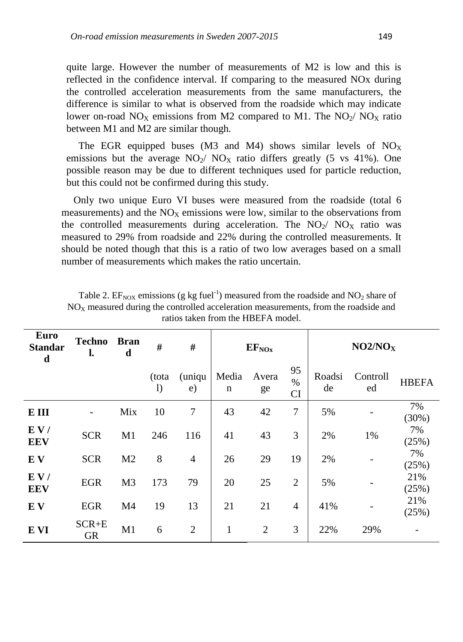quite large. However the number of measurements of M2 is low and this is reflected in the confidence interval. If comparing to the measured NOx during the controlled acceleration measurements from the same manufacturers, the difference is similar to what is observed from the roadside which may indicate lower on-road  $NO_X$  emissions from M2 compared to M1. The  $NO_2/NO_X$  ratio between M1 and M2 are similar though.

The EGR equipped buses (M3 and M4) shows similar levels of  $NO<sub>X</sub>$ emissions but the average  $NO_2/~NO_X$  ratio differs greatly (5 vs 41%). One possible reason may be due to different techniques used for particle reduction, but this could not be confirmed during this study.

Only two unique Euro VI buses were measured from the roadside (total 6 measurements) and the  $NO<sub>X</sub>$  emissions were low, similar to the observations from the controlled measurements during acceleration. The  $NO<sub>2</sub>/ NO<sub>X</sub>$  ratio was measured to 29% from roadside and 22% during the controlled measurements. It should be noted though that this is a ratio of two low averages based on a small number of measurements which makes the ratio uncertain.

| <b>Euro</b><br><b>Standar</b><br>$\mathbf d$ | <b>Techno</b><br>l.    | <b>Bran</b><br>d | #                     | #              | $EF_{NOx}$   |                |                  | NO2/NO <sub>X</sub> |                |              |
|----------------------------------------------|------------------------|------------------|-----------------------|----------------|--------------|----------------|------------------|---------------------|----------------|--------------|
|                                              |                        |                  | (tota<br>$\mathbf{I}$ | (uniqu<br>e)   | Media<br>n   | Avera<br>ge    | 95<br>$\%$<br>CI | Roadsi<br>de        | Controll<br>ed | <b>HBEFA</b> |
| E III                                        |                        | Mix              | 10                    | $\overline{7}$ | 43           | 42             | 7                | 5%                  |                | 7%<br>(30%)  |
| E V/<br><b>EEV</b>                           | <b>SCR</b>             | M1               | 246                   | 116            | 41           | 43             | 3                | 2%                  | 1%             | 7%<br>(25%)  |
| EV                                           | <b>SCR</b>             | M <sub>2</sub>   | 8                     | $\overline{4}$ | 26           | 29             | 19               | 2%                  |                | 7%<br>(25%)  |
| E V/<br><b>EEV</b>                           | <b>EGR</b>             | M <sub>3</sub>   | 173                   | 79             | 20           | 25             | $\overline{2}$   | 5%                  |                | 21%<br>(25%) |
| EV                                           | <b>EGR</b>             | M <sub>4</sub>   | 19                    | 13             | 21           | 21             | $\overline{4}$   | 41%                 |                | 21%<br>(25%) |
| E VI                                         | $SCR + E$<br><b>GR</b> | M1               | 6                     | $\overline{2}$ | $\mathbf{1}$ | $\overline{2}$ | 3                | 22%                 | 29%            |              |

Table 2.  $EF_{\text{NOX}}$  emissions (g kg fuel<sup>-1</sup>) measured from the roadside and  $NO_2$  share of  $NO<sub>x</sub>$  measured during the controlled acceleration measurements, from the roadside and ratios taken from the HBEFA model.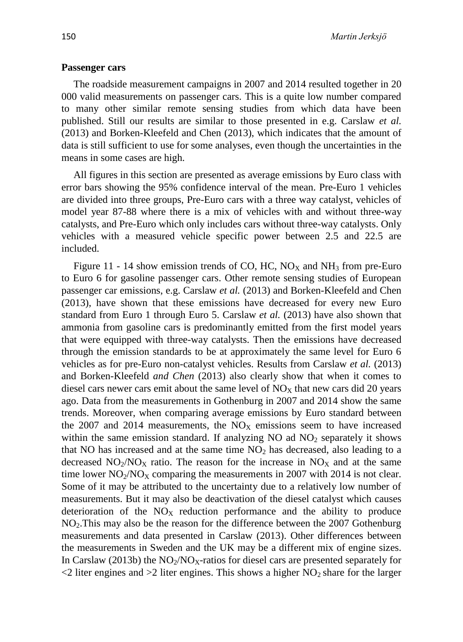#### **Passenger cars**

The roadside measurement campaigns in 2007 and 2014 resulted together in 20 000 valid measurements on passenger cars. This is a quite low number compared to many other similar remote sensing studies from which data have been published. Still our results are similar to those presented in e.g. Carslaw *et al.* (2013) and Borken-Kleefeld and Chen (2013), which indicates that the amount of data is still sufficient to use for some analyses, even though the uncertainties in the means in some cases are high.

All figures in this section are presented as average emissions by Euro class with error bars showing the 95% confidence interval of the mean. Pre-Euro 1 vehicles are divided into three groups, Pre-Euro cars with a three way catalyst, vehicles of model year 87-88 where there is a mix of vehicles with and without three-way catalysts, and Pre-Euro which only includes cars without three-way catalysts. Only vehicles with a measured vehicle specific power between 2.5 and 22.5 are included.

Figure 11 - 14 show emission trends of CO, HC, NO<sub>X</sub> and NH<sub>3</sub> from pre-Euro to Euro 6 for gasoline passenger cars. Other remote sensing studies of European passenger car emissions, e.g. Carslaw *et al.* (2013) and Borken-Kleefeld and Chen (2013), have shown that these emissions have decreased for every new Euro standard from Euro 1 through Euro 5. Carslaw *et al.* (2013) have also shown that ammonia from gasoline cars is predominantly emitted from the first model years that were equipped with three-way catalysts. Then the emissions have decreased through the emission standards to be at approximately the same level for Euro 6 vehicles as for pre-Euro non-catalyst vehicles. Results from Carslaw *et al.* (2013) and Borken-Kleefeld *and Chen* (2013) also clearly show that when it comes to diesel cars newer cars emit about the same level of  $NO<sub>x</sub>$  that new cars did 20 years ago. Data from the measurements in Gothenburg in 2007 and 2014 show the same trends. Moreover, when comparing average emissions by Euro standard between the 2007 and 2014 measurements, the  $NO<sub>X</sub>$  emissions seem to have increased within the same emission standard. If analyzing  $NO$  ad  $NO<sub>2</sub>$  separately it shows that NO has increased and at the same time  $NO<sub>2</sub>$  has decreased, also leading to a decreased  $NO_2/NO_X$  ratio. The reason for the increase in  $NO_X$  and at the same time lower  $NO<sub>2</sub>/NO<sub>X</sub>$  comparing the measurements in 2007 with 2014 is not clear. Some of it may be attributed to the uncertainty due to a relatively low number of measurements. But it may also be deactivation of the diesel catalyst which causes deterioration of the  $NO<sub>X</sub>$  reduction performance and the ability to produce  $NO<sub>2</sub>$ . This may also be the reason for the difference between the 2007 Gothenburg measurements and data presented in Carslaw (2013). Other differences between the measurements in Sweden and the UK may be a different mix of engine sizes. In Carslaw (2013b) the  $NO<sub>2</sub>/NO<sub>X</sub>$ -ratios for diesel cars are presented separately for  $\leq$  2 liter engines and  $\geq$  2 liter engines. This shows a higher NO<sub>2</sub> share for the larger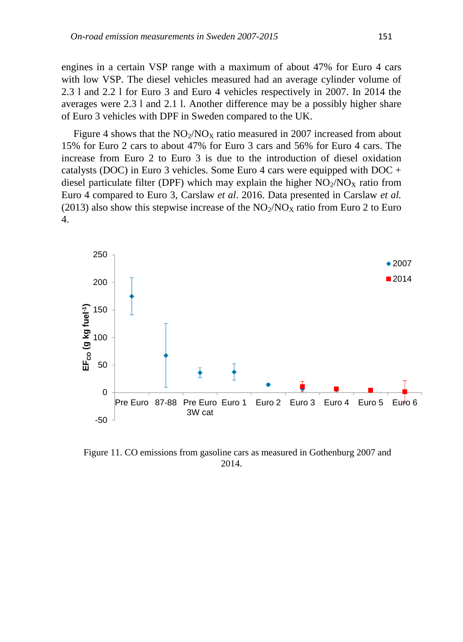engines in a certain VSP range with a maximum of about 47% for Euro 4 cars with low VSP. The diesel vehicles measured had an average cylinder volume of 2.3 l and 2.2 l for Euro 3 and Euro 4 vehicles respectively in 2007. In 2014 the averages were 2.3 l and 2.1 l. Another difference may be a possibly higher share of Euro 3 vehicles with DPF in Sweden compared to the UK.

Figure 4 shows that the  $NO<sub>2</sub>/NO<sub>X</sub>$  ratio measured in 2007 increased from about 15% for Euro 2 cars to about 47% for Euro 3 cars and 56% for Euro 4 cars. The increase from Euro 2 to Euro 3 is due to the introduction of diesel oxidation catalysts (DOC) in Euro 3 vehicles. Some Euro 4 cars were equipped with DOC + diesel particulate filter (DPF) which may explain the higher  $NO<sub>2</sub>/NO<sub>X</sub>$  ratio from Euro 4 compared to Euro 3, Carslaw *et al*. 2016. Data presented in Carslaw *et al.* (2013) also show this stepwise increase of the  $NO_2/NO_X$  ratio from Euro 2 to Euro 4.



Figure 11. CO emissions from gasoline cars as measured in Gothenburg 2007 and 2014.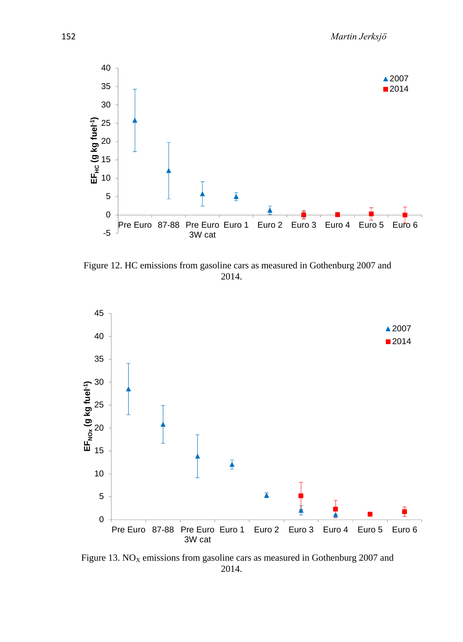

Figure 12. HC emissions from gasoline cars as measured in Gothenburg 2007 and 2014.



Figure 13.  $NO<sub>x</sub>$  emissions from gasoline cars as measured in Gothenburg 2007 and 2014.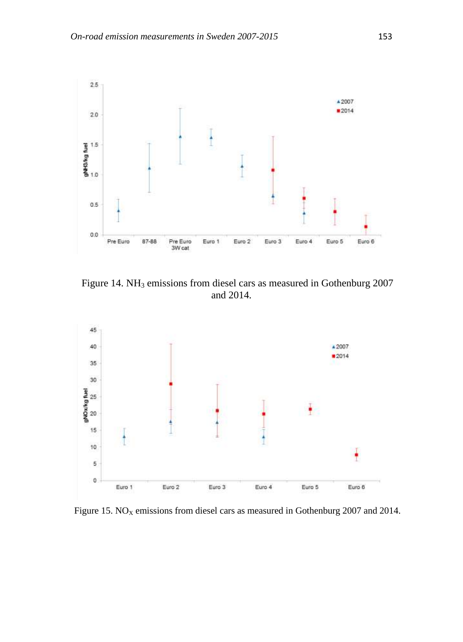

Figure 14. NH<sub>3</sub> emissions from diesel cars as measured in Gothenburg 2007 and 2014.



Figure 15.  $NO<sub>X</sub>$  emissions from diesel cars as measured in Gothenburg 2007 and 2014.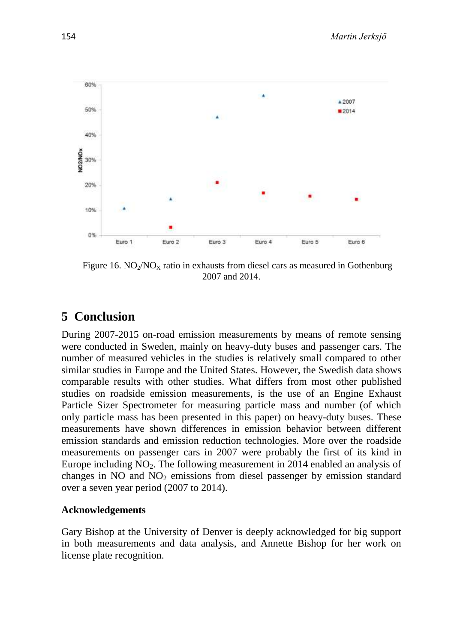

Figure 16.  $NO_2/NO_X$  ratio in exhausts from diesel cars as measured in Gothenburg 2007 and 2014.

# **5 Conclusion**

During 2007-2015 on-road emission measurements by means of remote sensing were conducted in Sweden, mainly on heavy-duty buses and passenger cars. The number of measured vehicles in the studies is relatively small compared to other similar studies in Europe and the United States. However, the Swedish data shows comparable results with other studies. What differs from most other published studies on roadside emission measurements, is the use of an Engine Exhaust Particle Sizer Spectrometer for measuring particle mass and number (of which only particle mass has been presented in this paper) on heavy-duty buses. These measurements have shown differences in emission behavior between different emission standards and emission reduction technologies. More over the roadside measurements on passenger cars in 2007 were probably the first of its kind in Europe including  $NO<sub>2</sub>$ . The following measurement in 2014 enabled an analysis of changes in  $NO$  and  $NO<sub>2</sub>$  emissions from diesel passenger by emission standard over a seven year period (2007 to 2014).

## **Acknowledgements**

Gary Bishop at the University of Denver is deeply acknowledged for big support in both measurements and data analysis, and Annette Bishop for her work on license plate recognition.